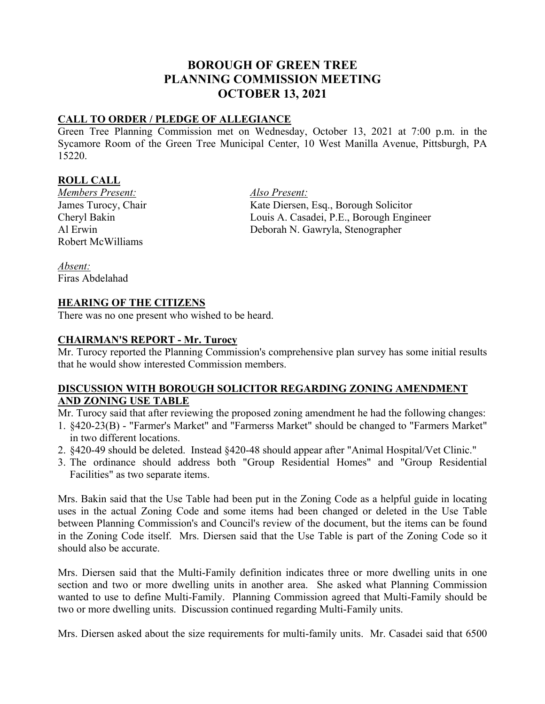# **BOROUGH OF GREEN TREE PLANNING COMMISSION MEETING OCTOBER 13, 2021**

# **CALL TO ORDER / PLEDGE OF ALLEGIANCE**

Green Tree Planning Commission met on Wednesday, October 13, 2021 at 7:00 p.m. in the Sycamore Room of the Green Tree Municipal Center, 10 West Manilla Avenue, Pittsburgh, PA 15220.

### **ROLL CALL**

*Members Present: Also Present:* Robert McWilliams

James Turocy, Chair Kate Diersen, Esq., Borough Solicitor Cheryl Bakin Louis A. Casadei, P.E., Borough Engineer Al Erwin Deborah N. Gawryla, Stenographer

*Absent:* Firas Abdelahad

## **HEARING OF THE CITIZENS**

There was no one present who wished to be heard.

## **CHAIRMAN'S REPORT - Mr. Turocy**

Mr. Turocy reported the Planning Commission's comprehensive plan survey has some initial results that he would show interested Commission members.

## **DISCUSSION WITH BOROUGH SOLICITOR REGARDING ZONING AMENDMENT AND ZONING USE TABLE**

Mr. Turocy said that after reviewing the proposed zoning amendment he had the following changes:

- 1. §420-23(B) "Farmer's Market" and "Farmerss Market" should be changed to "Farmers Market" in two different locations.
- 2. §420-49 should be deleted. Instead §420-48 should appear after "Animal Hospital/Vet Clinic."
- 3. The ordinance should address both "Group Residential Homes" and "Group Residential Facilities" as two separate items.

Mrs. Bakin said that the Use Table had been put in the Zoning Code as a helpful guide in locating uses in the actual Zoning Code and some items had been changed or deleted in the Use Table between Planning Commission's and Council's review of the document, but the items can be found in the Zoning Code itself. Mrs. Diersen said that the Use Table is part of the Zoning Code so it should also be accurate.

Mrs. Diersen said that the Multi-Family definition indicates three or more dwelling units in one section and two or more dwelling units in another area. She asked what Planning Commission wanted to use to define Multi-Family. Planning Commission agreed that Multi-Family should be two or more dwelling units. Discussion continued regarding Multi-Family units.

Mrs. Diersen asked about the size requirements for multi-family units. Mr. Casadei said that 6500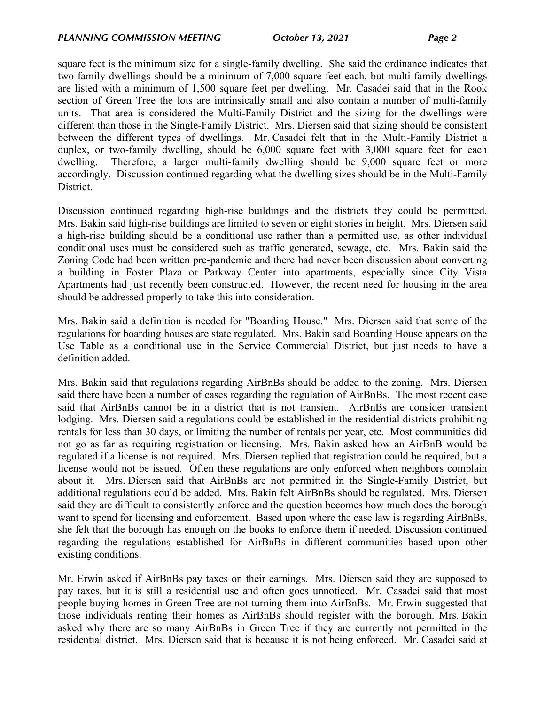square feet is the minimum size for a single-family dwelling. She said the ordinance indicates that two-family dwellings should be a minimum of 7,000 square feet each, but multi-family dwellings are listed with a minimum of 1,500 square feet per dwelling. Mr. Casadei said that in the Rook section of Green Tree the lots are intrinsically small and also contain a number of multi-family units. That area is considered the Multi-Family District and the sizing for the dwellings were different than those in the Single-Family District. Mrs. Diersen said that sizing should be consistent between the different types of dwellings. Mr. Casadei felt that in the Multi-Family District a duplex, or two-family dwelling, should be 6,000 square feet with 3,000 square feet for each dwelling. Therefore, a larger multi-family dwelling should be 9,000 square feet or more accordingly. Discussion continued regarding what the dwelling sizes should be in the Multi-Family District.

Discussion continued regarding high-rise buildings and the districts they could be permitted. Mrs. Bakin said high-rise buildings are limited to seven or eight stories in height. Mrs. Diersen said a high-rise building should be a conditional use rather than a permitted use, as other individual conditional uses must be considered such as traffic generated, sewage, etc. Mrs. Bakin said the Zoning Code had been written pre-pandemic and there had never been discussion about converting a building in Foster Plaza or Parkway Center into apartments, especially since City Vista Apartments had just recently been constructed. However, the recent need for housing in the area should be addressed properly to take this into consideration.

Mrs. Bakin said a definition is needed for "Boarding House." Mrs. Diersen said that some of the regulations for boarding houses are state regulated. Mrs. Bakin said Boarding House appears on the Use Table as a conditional use in the Service Commercial District, but just needs to have a definition added.

Mrs. Bakin said that regulations regarding AirBnBs should be added to the zoning. Mrs. Diersen said there have been a number of cases regarding the regulation of AirBnBs. The most recent case said that AirBnBs cannot be in a district that is not transient. AirBnBs are consider transient lodging. Mrs. Diersen said a regulations could be established in the residential districts prohibiting rentals for less than 30 days, or limiting the number of rentals per year, etc. Most communities did not go as far as requiring registration or licensing. Mrs. Bakin asked how an AirBnB would be regulated if a license is not required. Mrs. Diersen replied that registration could be required, but a license would not be issued. Often these regulations are only enforced when neighbors complain about it. Mrs. Diersen said that AirBnBs are not permitted in the Single-Family District, but additional regulations could be added. Mrs. Bakin felt AirBnBs should be regulated. Mrs. Diersen said they are difficult to consistently enforce and the question becomes how much does the borough want to spend for licensing and enforcement. Based upon where the case law is regarding AirBnBs, she felt that the borough has enough on the books to enforce them if needed. Discussion continued regarding the regulations established for AirBnBs in different communities based upon other existing conditions.

Mr. Erwin asked if AirBnBs pay taxes on their earnings. Mrs. Diersen said they are supposed to pay taxes, but it is still a residential use and often goes unnoticed. Mr. Casadei said that most people buying homes in Green Tree are not turning them into AirBnBs. Mr. Erwin suggested that those individuals renting their homes as AirBnBs should register with the borough. Mrs. Bakin asked why there are so many AirBnBs in Green Tree if they are currently not permitted in the residential district. Mrs. Diersen said that is because it is not being enforced. Mr. Casadei said at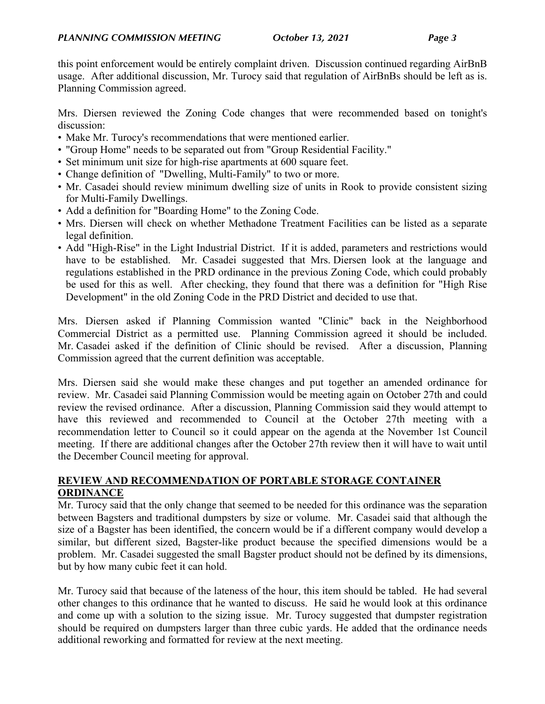this point enforcement would be entirely complaint driven. Discussion continued regarding AirBnB usage. After additional discussion, Mr. Turocy said that regulation of AirBnBs should be left as is. Planning Commission agreed.

Mrs. Diersen reviewed the Zoning Code changes that were recommended based on tonight's discussion:

- Make Mr. Turocy's recommendations that were mentioned earlier.
- "Group Home" needs to be separated out from "Group Residential Facility."
- Set minimum unit size for high-rise apartments at 600 square feet.
- Change definition of "Dwelling, Multi-Family" to two or more.
- Mr. Casadei should review minimum dwelling size of units in Rook to provide consistent sizing for Multi-Family Dwellings.
- Add a definition for "Boarding Home" to the Zoning Code.
- Mrs. Diersen will check on whether Methadone Treatment Facilities can be listed as a separate legal definition.
- Add "High-Rise" in the Light Industrial District. If it is added, parameters and restrictions would have to be established. Mr. Casadei suggested that Mrs. Diersen look at the language and regulations established in the PRD ordinance in the previous Zoning Code, which could probably be used for this as well. After checking, they found that there was a definition for "High Rise Development" in the old Zoning Code in the PRD District and decided to use that.

Mrs. Diersen asked if Planning Commission wanted "Clinic" back in the Neighborhood Commercial District as a permitted use. Planning Commission agreed it should be included. Mr. Casadei asked if the definition of Clinic should be revised. After a discussion, Planning Commission agreed that the current definition was acceptable.

Mrs. Diersen said she would make these changes and put together an amended ordinance for review. Mr. Casadei said Planning Commission would be meeting again on October 27th and could review the revised ordinance. After a discussion, Planning Commission said they would attempt to have this reviewed and recommended to Council at the October 27th meeting with a recommendation letter to Council so it could appear on the agenda at the November 1st Council meeting. If there are additional changes after the October 27th review then it will have to wait until the December Council meeting for approval.

# **REVIEW AND RECOMMENDATION OF PORTABLE STORAGE CONTAINER ORDINANCE**

Mr. Turocy said that the only change that seemed to be needed for this ordinance was the separation between Bagsters and traditional dumpsters by size or volume. Mr. Casadei said that although the size of a Bagster has been identified, the concern would be if a different company would develop a similar, but different sized, Bagster-like product because the specified dimensions would be a problem. Mr. Casadei suggested the small Bagster product should not be defined by its dimensions, but by how many cubic feet it can hold.

Mr. Turocy said that because of the lateness of the hour, this item should be tabled. He had several other changes to this ordinance that he wanted to discuss. He said he would look at this ordinance and come up with a solution to the sizing issue. Mr. Turocy suggested that dumpster registration should be required on dumpsters larger than three cubic yards. He added that the ordinance needs additional reworking and formatted for review at the next meeting.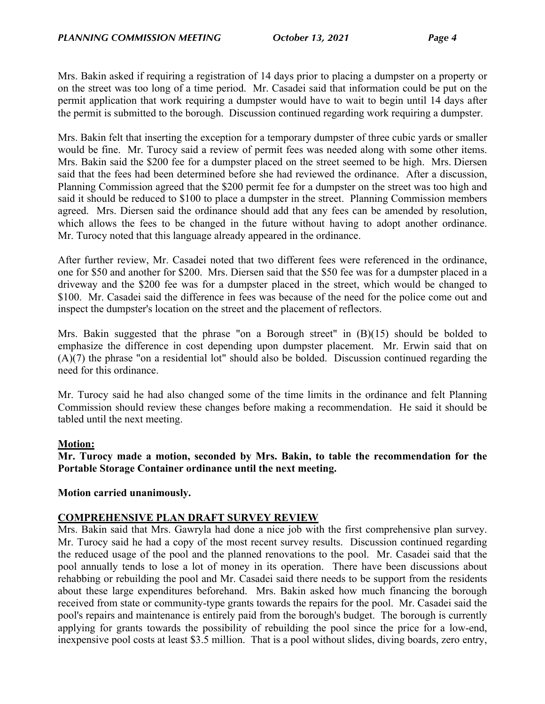Mrs. Bakin asked if requiring a registration of 14 days prior to placing a dumpster on a property or on the street was too long of a time period. Mr. Casadei said that information could be put on the permit application that work requiring a dumpster would have to wait to begin until 14 days after the permit is submitted to the borough. Discussion continued regarding work requiring a dumpster.

Mrs. Bakin felt that inserting the exception for a temporary dumpster of three cubic yards or smaller would be fine. Mr. Turocy said a review of permit fees was needed along with some other items. Mrs. Bakin said the \$200 fee for a dumpster placed on the street seemed to be high. Mrs. Diersen said that the fees had been determined before she had reviewed the ordinance. After a discussion, Planning Commission agreed that the \$200 permit fee for a dumpster on the street was too high and said it should be reduced to \$100 to place a dumpster in the street. Planning Commission members agreed. Mrs. Diersen said the ordinance should add that any fees can be amended by resolution, which allows the fees to be changed in the future without having to adopt another ordinance. Mr. Turocy noted that this language already appeared in the ordinance.

After further review, Mr. Casadei noted that two different fees were referenced in the ordinance, one for \$50 and another for \$200. Mrs. Diersen said that the \$50 fee was for a dumpster placed in a driveway and the \$200 fee was for a dumpster placed in the street, which would be changed to \$100. Mr. Casadei said the difference in fees was because of the need for the police come out and inspect the dumpster's location on the street and the placement of reflectors.

Mrs. Bakin suggested that the phrase "on a Borough street" in (B)(15) should be bolded to emphasize the difference in cost depending upon dumpster placement. Mr. Erwin said that on (A)(7) the phrase "on a residential lot" should also be bolded. Discussion continued regarding the need for this ordinance.

Mr. Turocy said he had also changed some of the time limits in the ordinance and felt Planning Commission should review these changes before making a recommendation. He said it should be tabled until the next meeting.

### **Motion:**

**Mr. Turocy made a motion, seconded by Mrs. Bakin, to table the recommendation for the Portable Storage Container ordinance until the next meeting.**

### **Motion carried unanimously.**

### **COMPREHENSIVE PLAN DRAFT SURVEY REVIEW**

Mrs. Bakin said that Mrs. Gawryla had done a nice job with the first comprehensive plan survey. Mr. Turocy said he had a copy of the most recent survey results. Discussion continued regarding the reduced usage of the pool and the planned renovations to the pool. Mr. Casadei said that the pool annually tends to lose a lot of money in its operation. There have been discussions about rehabbing or rebuilding the pool and Mr. Casadei said there needs to be support from the residents about these large expenditures beforehand. Mrs. Bakin asked how much financing the borough received from state or community-type grants towards the repairs for the pool. Mr. Casadei said the pool's repairs and maintenance is entirely paid from the borough's budget. The borough is currently applying for grants towards the possibility of rebuilding the pool since the price for a low-end, inexpensive pool costs at least \$3.5 million. That is a pool without slides, diving boards, zero entry,